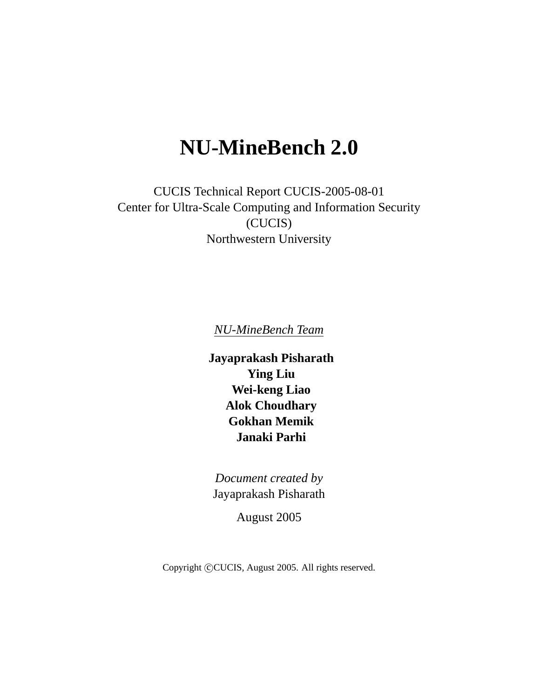# **NU-MineBench 2.0**

CUCIS Technical Report CUCIS-2005-08-01 Center for Ultra-Scale Computing and Information Security (CUCIS) Northwestern University

*NU-MineBench Team*

**Jayaprakash Pisharath Ying Liu Wei-keng Liao Alok Choudhary Gokhan Memik Janaki Parhi**

*Document created by* Jayaprakash Pisharath

August 2005

Copyright ©CUCIS, August 2005. All rights reserved.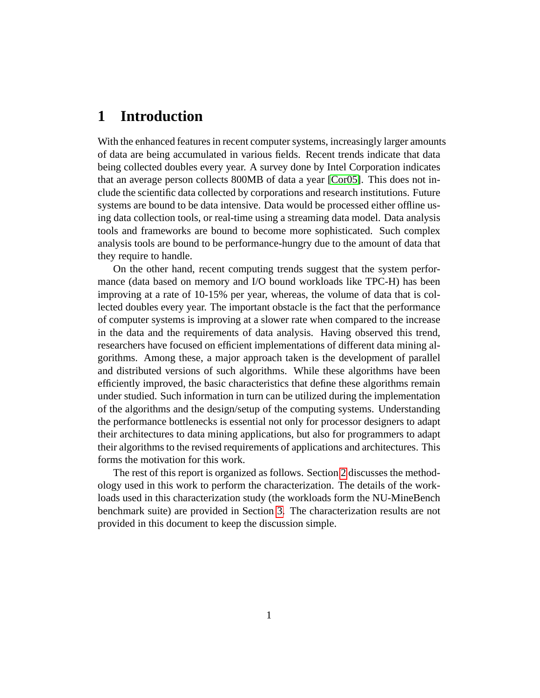### **1 Introduction**

With the enhanced features in recent computer systems, increasingly larger amounts of data are being accumulated in various fields. Recent trends indicate that data being collected doubles every year. A survey done by Intel Corporation indicates that an average person collects 800MB of data a year [\[Cor05\]](#page-12-0). This does not include the scientific data collected by corporations and research institutions. Future systems are bound to be data intensive. Data would be processed either offline using data collection tools, or real-time using a streaming data model. Data analysis tools and frameworks are bound to become more sophisticated. Such complex analysis tools are bound to be performance-hungry due to the amount of data that they require to handle.

On the other hand, recent computing trends suggest that the system performance (data based on memory and I/O bound workloads like TPC-H) has been improving at a rate of 10-15% per year, whereas, the volume of data that is collected doubles every year. The important obstacle is the fact that the performance of computer systems is improving at a slower rate when compared to the increase in the data and the requirements of data analysis. Having observed this trend, researchers have focused on efficient implementations of different data mining algorithms. Among these, a major approach taken is the development of parallel and distributed versions of such algorithms. While these algorithms have been efficiently improved, the basic characteristics that define these algorithms remain under studied. Such information in turn can be utilized during the implementation of the algorithms and the design/setup of the computing systems. Understanding the performance bottlenecks is essential not only for processor designers to adapt their architectures to data mining applications, but also for programmers to adapt their algorithms to the revised requirements of applications and architectures. This forms the motivation for this work.

The rest of this report is organized as follows. Section [2](#page-2-0) discusses the methodology used in this work to perform the characterization. The details of the workloads used in this characterization study (the workloads form the NU-MineBench benchmark suite) are provided in Section [3.](#page-4-0) The characterization results are not provided in this document to keep the discussion simple.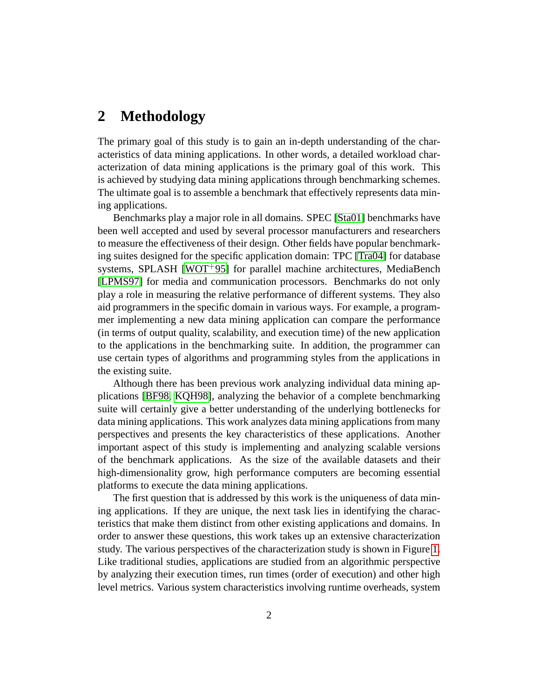## <span id="page-2-0"></span>**2 Methodology**

The primary goal of this study is to gain an in-depth understanding of the characteristics of data mining applications. In other words, a detailed workload characterization of data mining applications is the primary goal of this work. This is achieved by studying data mining applications through benchmarking schemes. The ultimate goal is to assemble a benchmark that effectively represents data mining applications.

Benchmarks play a major role in all domains. SPEC [\[Sta01\]](#page-14-0) benchmarks have been well accepted and used by several processor manufacturers and researchers to measure the effectiveness of their design. Other fields have popular benchmarking suites designed for the specific application domain: TPC [\[Tra04\]](#page-14-1) for database systems, SPLASH [\[WOT](#page-14-2)<sup>+95]</sup> for parallel machine architectures, MediaBench [\[LPMS97\]](#page-13-0) for media and communication processors. Benchmarks do not only play a role in measuring the relative performance of different systems. They also aid programmers in the specific domain in various ways. For example, a programmer implementing a new data mining application can compare the performance (in terms of output quality, scalability, and execution time) of the new application to the applications in the benchmarking suite. In addition, the programmer can use certain types of algorithms and programming styles from the applications in the existing suite.

Although there has been previous work analyzing individual data mining applications [\[BF98,](#page-12-1) [KQH98\]](#page-13-1), analyzing the behavior of a complete benchmarking suite will certainly give a better understanding of the underlying bottlenecks for data mining applications. This work analyzes data mining applications from many perspectives and presents the key characteristics of these applications. Another important aspect of this study is implementing and analyzing scalable versions of the benchmark applications. As the size of the available datasets and their high-dimensionality grow, high performance computers are becoming essential platforms to execute the data mining applications.

The first question that is addressed by this work is the uniqueness of data mining applications. If they are unique, the next task lies in identifying the characteristics that make them distinct from other existing applications and domains. In order to answer these questions, this work takes up an extensive characterization study. The various perspectives of the characterization study is shown in Figure [1.](#page-3-0) Like traditional studies, applications are studied from an algorithmic perspective by analyzing their execution times, run times (order of execution) and other high level metrics. Various system characteristics involving runtime overheads, system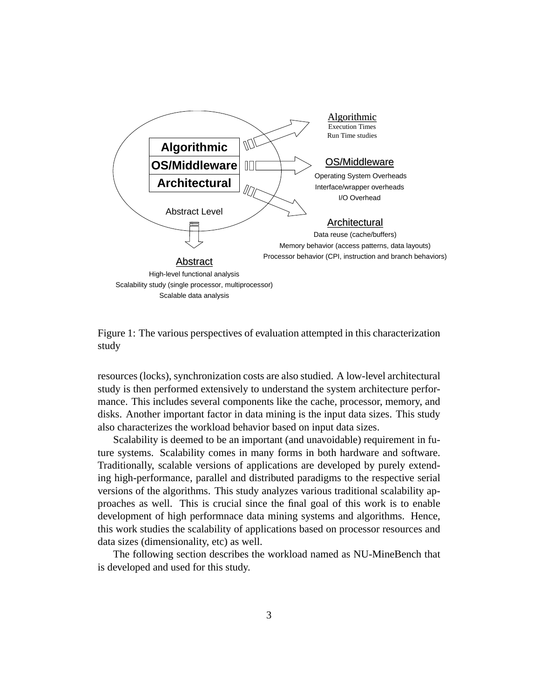

<span id="page-3-0"></span>Figure 1: The various perspectives of evaluation attempted in this characterization study

resources (locks), synchronization costs are also studied. A low-level architectural study is then performed extensively to understand the system architecture performance. This includes several components like the cache, processor, memory, and disks. Another important factor in data mining is the input data sizes. This study also characterizes the workload behavior based on input data sizes.

Scalability is deemed to be an important (and unavoidable) requirement in future systems. Scalability comes in many forms in both hardware and software. Traditionally, scalable versions of applications are developed by purely extending high-performance, parallel and distributed paradigms to the respective serial versions of the algorithms. This study analyzes various traditional scalability approaches as well. This is crucial since the final goal of this work is to enable development of high performnace data mining systems and algorithms. Hence, this work studies the scalability of applications based on processor resources and data sizes (dimensionality, etc) as well.

The following section describes the workload named as NU-MineBench that is developed and used for this study.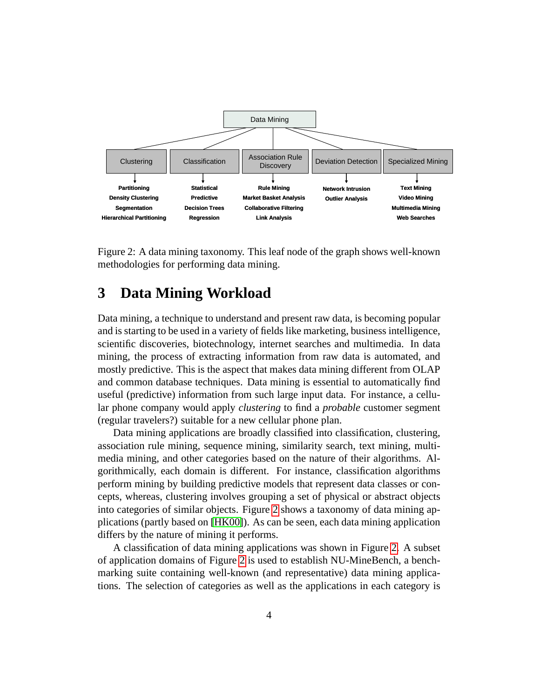

<span id="page-4-1"></span>Figure 2: A data mining taxonomy. This leaf node of the graph shows well-known methodologies for performing data mining.

#### <span id="page-4-0"></span>**3 Data Mining Workload**

Data mining, a technique to understand and present raw data, is becoming popular and is starting to be used in a variety of fields like marketing, business intelligence, scientific discoveries, biotechnology, internet searches and multimedia. In data mining, the process of extracting information from raw data is automated, and mostly predictive. This is the aspect that makes data mining different from OLAP and common database techniques. Data mining is essential to automatically find useful (predictive) information from such large input data. For instance, a cellular phone company would apply *clustering* to find a *probable* customer segment (regular travelers?) suitable for a new cellular phone plan.

Data mining applications are broadly classified into classification, clustering, association rule mining, sequence mining, similarity search, text mining, multimedia mining, and other categories based on the nature of their algorithms. Algorithmically, each domain is different. For instance, classification algorithms perform mining by building predictive models that represent data classes or concepts, whereas, clustering involves grouping a set of physical or abstract objects into categories of similar objects. Figure [2](#page-4-1) shows a taxonomy of data mining applications (partly based on [\[HK00\]](#page-13-2)). As can be seen, each data mining application differs by the nature of mining it performs.

A classification of data mining applications was shown in Figure [2.](#page-4-1) A subset of application domains of Figure [2](#page-4-1) is used to establish NU-MineBench, a benchmarking suite containing well-known (and representative) data mining applications. The selection of categories as well as the applications in each category is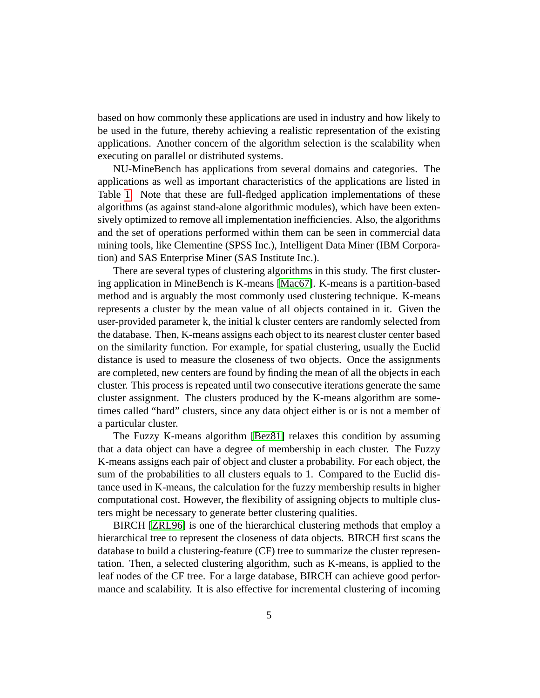based on how commonly these applications are used in industry and how likely to be used in the future, thereby achieving a realistic representation of the existing applications. Another concern of the algorithm selection is the scalability when executing on parallel or distributed systems.

NU-MineBench has applications from several domains and categories. The applications as well as important characteristics of the applications are listed in Table [1.](#page-6-0) Note that these are full-fledged application implementations of these algorithms (as against stand-alone algorithmic modules), which have been extensively optimized to remove all implementation inefficiencies. Also, the algorithms and the set of operations performed within them can be seen in commercial data mining tools, like Clementine (SPSS Inc.), Intelligent Data Miner (IBM Corporation) and SAS Enterprise Miner (SAS Institute Inc.).

There are several types of clustering algorithms in this study. The first clustering application in MineBench is K-means [\[Mac67\]](#page-13-3). K-means is a partition-based method and is arguably the most commonly used clustering technique. K-means represents a cluster by the mean value of all objects contained in it. Given the user-provided parameter k, the initial k cluster centers are randomly selected from the database. Then, K-means assigns each object to its nearest cluster center based on the similarity function. For example, for spatial clustering, usually the Euclid distance is used to measure the closeness of two objects. Once the assignments are completed, new centers are found by finding the mean of all the objects in each cluster. This process is repeated until two consecutive iterations generate the same cluster assignment. The clusters produced by the K-means algorithm are sometimes called "hard" clusters, since any data object either is or is not a member of a particular cluster.

The Fuzzy K-means algorithm [\[Bez81\]](#page-12-2) relaxes this condition by assuming that a data object can have a degree of membership in each cluster. The Fuzzy K-means assigns each pair of object and cluster a probability. For each object, the sum of the probabilities to all clusters equals to 1. Compared to the Euclid distance used in K-means, the calculation for the fuzzy membership results in higher computational cost. However, the flexibility of assigning objects to multiple clusters might be necessary to generate better clustering qualities.

BIRCH [\[ZRL96\]](#page-14-3) is one of the hierarchical clustering methods that employ a hierarchical tree to represent the closeness of data objects. BIRCH first scans the database to build a clustering-feature (CF) tree to summarize the cluster representation. Then, a selected clustering algorithm, such as K-means, is applied to the leaf nodes of the CF tree. For a large database, BIRCH can achieve good performance and scalability. It is also effective for incremental clustering of incoming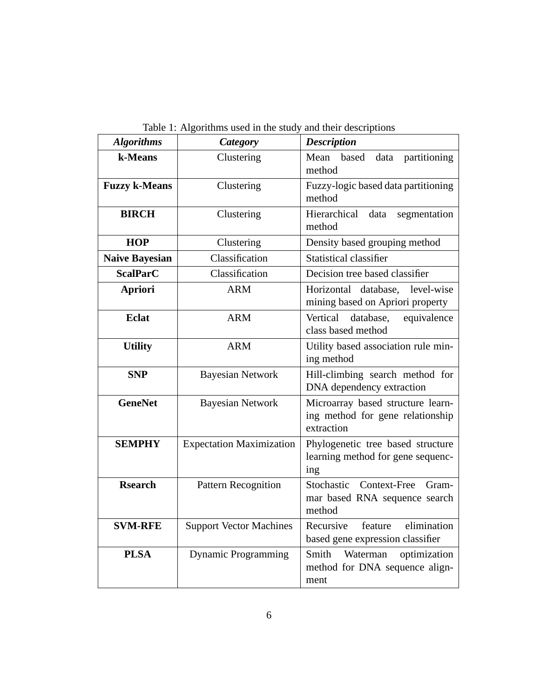| <b>Algorithms</b>     | <b>Category</b>                 | <b>Description</b>                                                                  |  |  |
|-----------------------|---------------------------------|-------------------------------------------------------------------------------------|--|--|
| k-Means               | Clustering                      | Mean<br>based<br>partitioning<br>data<br>method                                     |  |  |
| <b>Fuzzy k-Means</b>  | Clustering                      | Fuzzy-logic based data partitioning<br>method                                       |  |  |
| <b>BIRCH</b>          | Clustering                      | Hierarchical<br>data<br>segmentation<br>method                                      |  |  |
| <b>HOP</b>            | Clustering                      | Density based grouping method                                                       |  |  |
| <b>Naive Bayesian</b> | Classification                  | <b>Statistical classifier</b>                                                       |  |  |
| <b>ScalParC</b>       | Classification                  | Decision tree based classifier                                                      |  |  |
| <b>Apriori</b>        | <b>ARM</b>                      | Horizontal database,<br>level-wise<br>mining based on Apriori property              |  |  |
| <b>Eclat</b>          | <b>ARM</b>                      | Vertical<br>database,<br>equivalence<br>class based method                          |  |  |
| <b>Utility</b>        | <b>ARM</b>                      | Utility based association rule min-<br>ing method                                   |  |  |
| <b>SNP</b>            | <b>Bayesian Network</b>         | Hill-climbing search method for<br>DNA dependency extraction                        |  |  |
| <b>GeneNet</b>        | <b>Bayesian Network</b>         | Microarray based structure learn-<br>ing method for gene relationship<br>extraction |  |  |
| <b>SEMPHY</b>         | <b>Expectation Maximization</b> | Phylogenetic tree based structure<br>learning method for gene sequenc-<br>ing       |  |  |
| <b>Rsearch</b>        | Pattern Recognition             | Stochastic<br>Context-Free<br>Gram-<br>mar based RNA sequence search<br>method      |  |  |
| <b>SVM-RFE</b>        | <b>Support Vector Machines</b>  | elimination<br>Recursive<br>feature<br>based gene expression classifier             |  |  |
| <b>PLSA</b>           | <b>Dynamic Programming</b>      | Smith<br>Waterman<br>optimization<br>method for DNA sequence align-<br>ment         |  |  |

<span id="page-6-0"></span>Table 1: Algorithms used in the study and their descriptions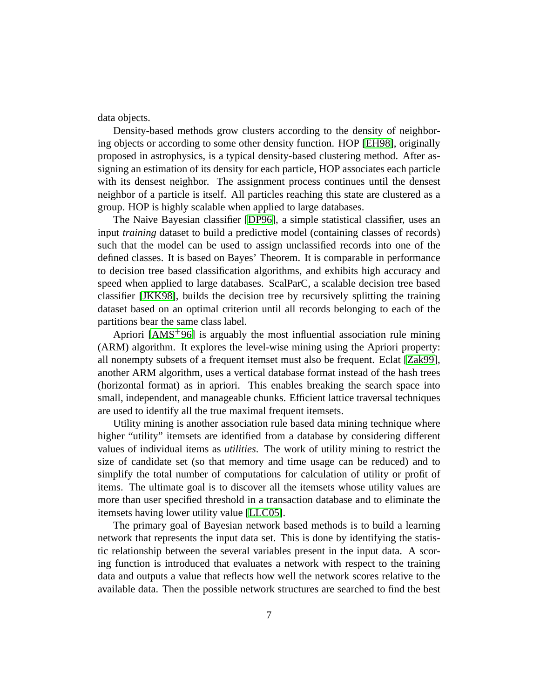data objects.

Density-based methods grow clusters according to the density of neighboring objects or according to some other density function. HOP [\[EH98\]](#page-13-4), originally proposed in astrophysics, is a typical density-based clustering method. After assigning an estimation of its density for each particle, HOP associates each particle with its densest neighbor. The assignment process continues until the densest neighbor of a particle is itself. All particles reaching this state are clustered as a group. HOP is highly scalable when applied to large databases.

The Naive Bayesian classifier [\[DP96\]](#page-12-3), a simple statistical classifier, uses an input *training* dataset to build a predictive model (containing classes of records) such that the model can be used to assign unclassified records into one of the defined classes. It is based on Bayes' Theorem. It is comparable in performance to decision tree based classification algorithms, and exhibits high accuracy and speed when applied to large databases. ScalParC, a scalable decision tree based classifier [\[JKK98\]](#page-13-5), builds the decision tree by recursively splitting the training dataset based on an optimal criterion until all records belonging to each of the partitions bear the same class label.

Apriori  $[AMS<sup>+</sup>96]$  is arguably the most influential association rule mining (ARM) algorithm. It explores the level-wise mining using the Apriori property: all nonempty subsets of a frequent itemset must also be frequent. Eclat [\[Zak99\]](#page-14-4), another ARM algorithm, uses a vertical database format instead of the hash trees (horizontal format) as in apriori. This enables breaking the search space into small, independent, and manageable chunks. Efficient lattice traversal techniques are used to identify all the true maximal frequent itemsets.

Utility mining is another association rule based data mining technique where higher "utility" itemsets are identified from a database by considering different values of individual items as *utilities*. The work of utility mining to restrict the size of candidate set (so that memory and time usage can be reduced) and to simplify the total number of computations for calculation of utility or profit of items. The ultimate goal is to discover all the itemsets whose utility values are more than user specified threshold in a transaction database and to eliminate the itemsets having lower utility value [\[LLC05\]](#page-13-6).

The primary goal of Bayesian network based methods is to build a learning network that represents the input data set. This is done by identifying the statistic relationship between the several variables present in the input data. A scoring function is introduced that evaluates a network with respect to the training data and outputs a value that reflects how well the network scores relative to the available data. Then the possible network structures are searched to find the best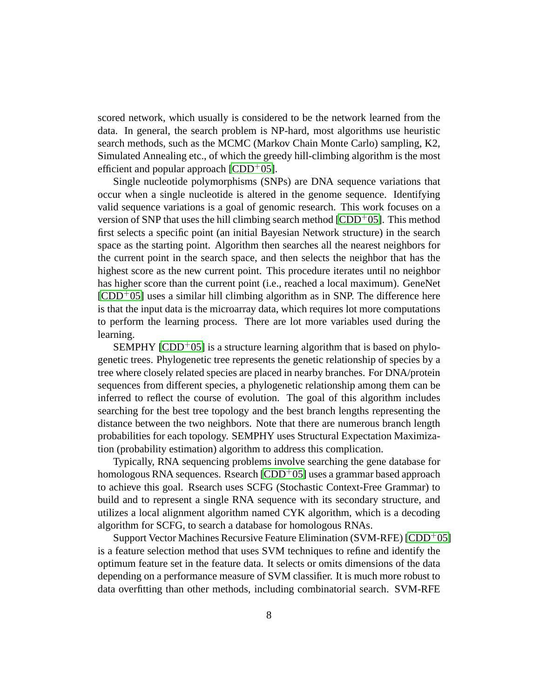scored network, which usually is considered to be the network learned from the data. In general, the search problem is NP-hard, most algorithms use heuristic search methods, such as the MCMC (Markov Chain Monte Carlo) sampling, K2, Simulated Annealing etc., of which the greedy hill-climbing algorithm is the most efficient and popular approach  $[CDD+05]$ .

Single nucleotide polymorphisms (SNPs) are DNA sequence variations that occur when a single nucleotide is altered in the genome sequence. Identifying valid sequence variations is a goal of genomic research. This work focuses on a version of SNP that uses the hill climbing search method  $[CDD<sup>+</sup>05]$  $[CDD<sup>+</sup>05]$ . This method first selects a specific point (an initial Bayesian Network structure) in the search space as the starting point. Algorithm then searches all the nearest neighbors for the current point in the search space, and then selects the neighbor that has the highest score as the new current point. This procedure iterates until no neighbor has higher score than the current point (i.e., reached a local maximum). GeneNet  $[CDD<sup>+</sup>05]$  $[CDD<sup>+</sup>05]$  uses a similar hill climbing algorithm as in SNP. The difference here is that the input data is the microarray data, which requires lot more computations to perform the learning process. There are lot more variables used during the learning.

SEMPHY  $[CDD<sup>+</sup>05]$  $[CDD<sup>+</sup>05]$  is a structure learning algorithm that is based on phylogenetic trees. Phylogenetic tree represents the genetic relationship of species by a tree where closely related species are placed in nearby branches. For DNA/protein sequences from different species, a phylogenetic relationship among them can be inferred to reflect the course of evolution. The goal of this algorithm includes searching for the best tree topology and the best branch lengths representing the distance between the two neighbors. Note that there are numerous branch length probabilities for each topology. SEMPHY uses Structural Expectation Maximization (probability estimation) algorithm to address this complication.

Typically, RNA sequencing problems involve searching the gene database for homologous RNA sequences. Rsearch  $[CDD<sup>+</sup>05]$  uses a grammar based approach to achieve this goal. Rsearch uses SCFG (Stochastic Context-Free Grammar) to build and to represent a single RNA sequence with its secondary structure, and utilizes a local alignment algorithm named CYK algorithm, which is a decoding algorithm for SCFG, to search a database for homologous RNAs.

Support Vector Machines Recursive Feature Elimination (SVM-RFE)  $[CDD<sup>+</sup>05]$ is a feature selection method that uses SVM techniques to refine and identify the optimum feature set in the feature data. It selects or omits dimensions of the data depending on a performance measure of SVM classifier. It is much more robust to data overfitting than other methods, including combinatorial search. SVM-RFE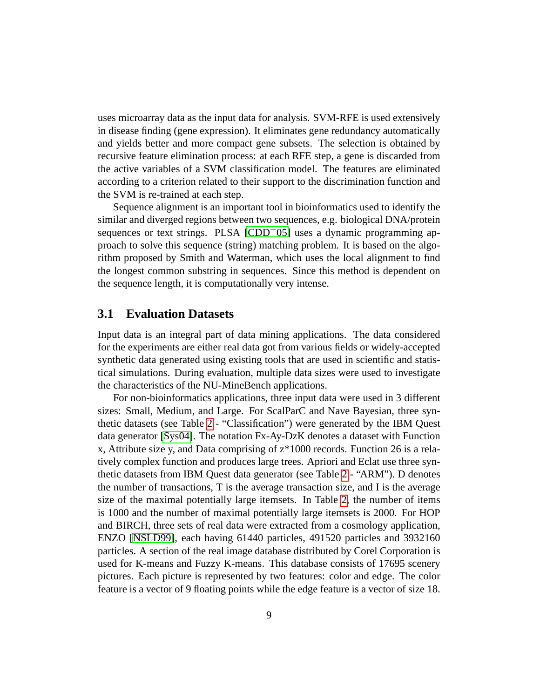uses microarray data as the input data for analysis. SVM-RFE is used extensively in disease finding (gene expression). It eliminates gene redundancy automatically and yields better and more compact gene subsets. The selection is obtained by recursive feature elimination process: at each RFE step, a gene is discarded from the active variables of a SVM classification model. The features are eliminated according to a criterion related to their support to the discrimination function and the SVM is re-trained at each step.

Sequence alignment is an important tool in bioinformatics used to identify the similar and diverged regions between two sequences, e.g. biological DNA/protein sequences or text strings. PLSA  $[CDD<sup>+</sup>05]$  uses a dynamic programming approach to solve this sequence (string) matching problem. It is based on the algorithm proposed by Smith and Waterman, which uses the local alignment to find the longest common substring in sequences. Since this method is dependent on the sequence length, it is computationally very intense.

#### **3.1 Evaluation Datasets**

Input data is an integral part of data mining applications. The data considered for the experiments are either real data got from various fields or widely-accepted synthetic data generated using existing tools that are used in scientific and statistical simulations. During evaluation, multiple data sizes were used to investigate the characteristics of the NU-MineBench applications.

For non-bioinformatics applications, three input data were used in 3 different sizes: Small, Medium, and Large. For ScalParC and Nave Bayesian, three synthetic datasets (see Table [2](#page-10-0) - "Classification") were generated by the IBM Quest data generator [\[Sys04\]](#page-14-5). The notation Fx-Ay-DzK denotes a dataset with Function x, Attribute size y, and Data comprising of z\*1000 records. Function 26 is a relatively complex function and produces large trees. Apriori and Eclat use three synthetic datasets from IBM Quest data generator (see Table [2](#page-10-0) - "ARM"). D denotes the number of transactions, T is the average transaction size, and I is the average size of the maximal potentially large itemsets. In Table [2,](#page-10-0) the number of items is 1000 and the number of maximal potentially large itemsets is 2000. For HOP and BIRCH, three sets of real data were extracted from a cosmology application, ENZO [\[NSLD99\]](#page-13-7), each having 61440 particles, 491520 particles and 3932160 particles. A section of the real image database distributed by Corel Corporation is used for K-means and Fuzzy K-means. This database consists of 17695 scenery pictures. Each picture is represented by two features: color and edge. The color feature is a vector of 9 floating points while the edge feature is a vector of size 18.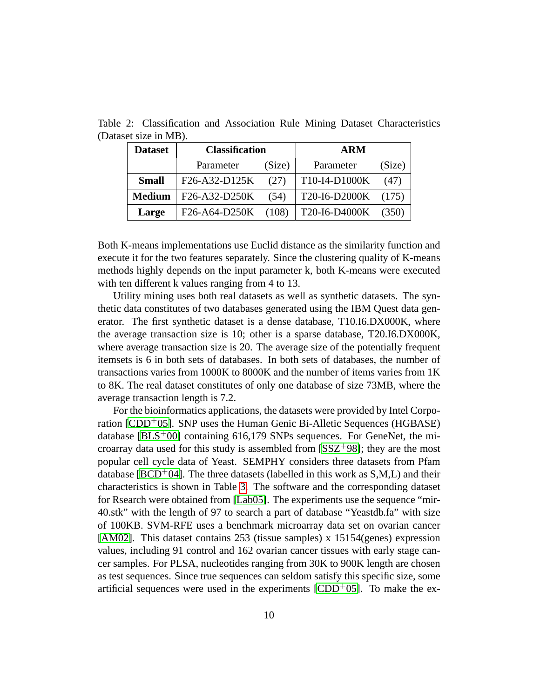<span id="page-10-0"></span>

| <b>Dataset</b> | <b>Classification</b> |        | <b>ARM</b>    |        |  |
|----------------|-----------------------|--------|---------------|--------|--|
|                | Parameter             | (Size) | Parameter     | (Size) |  |
| <b>Small</b>   | F26-A32-D125K         | (27)   | T10-I4-D1000K | (47)   |  |
| <b>Medium</b>  | F26-A32-D250K         | (54)   | T20-I6-D2000K | (175)  |  |
| Large          | F26-A64-D250K         | (108)  | T20-I6-D4000K | (350)  |  |

Table 2: Classification and Association Rule Mining Dataset Characteristics (Dataset size in MB).

Both K-means implementations use Euclid distance as the similarity function and execute it for the two features separately. Since the clustering quality of K-means methods highly depends on the input parameter k, both K-means were executed with ten different k values ranging from 4 to 13.

Utility mining uses both real datasets as well as synthetic datasets. The synthetic data constitutes of two databases generated using the IBM Quest data generator. The first synthetic dataset is a dense database, T10.I6.DX000K, where the average transaction size is 10; other is a sparse database, T20.I6.DX000K, where average transaction size is 20. The average size of the potentially frequent itemsets is 6 in both sets of databases. In both sets of databases, the number of transactions varies from 1000K to 8000K and the number of items varies from 1K to 8K. The real dataset constitutes of only one database of size 73MB, where the average transaction length is 7.2.

For the bioinformatics applications, the datasets were provided by Intel Corpo-ration [\[CDD](#page-12-5)<sup>+</sup>05]. SNP uses the Human Genic Bi-Alletic Sequences (HGBASE) database [ $BLS<sup>+</sup>00$ ] containing 616,179 SNPs sequences. For GeneNet, the microarray data used for this study is assembled from  $[SSZ<sup>+</sup>98]$ ; they are the most popular cell cycle data of Yeast. SEMPHY considers three datasets from Pfam database [\[BCD](#page-12-7)<sup>+</sup>04]. The three datasets (labelled in this work as  $S,M,L$ ) and their characteristics is shown in Table [3.](#page-11-0) The software and the corresponding dataset for Rsearch were obtained from [\[Lab05\]](#page-13-9). The experiments use the sequence "mir-40.stk" with the length of 97 to search a part of database "Yeastdb.fa" with size of 100KB. SVM-RFE uses a benchmark microarray data set on ovarian cancer [\[AM02\]](#page-12-8). This dataset contains 253 (tissue samples) x 15154(genes) expression values, including 91 control and 162 ovarian cancer tissues with early stage cancer samples. For PLSA, nucleotides ranging from 30K to 900K length are chosen as test sequences. Since true sequences can seldom satisfy this specific size, some artificial sequences were used in the experiments  $[CDD<sup>+</sup>05]$  $[CDD<sup>+</sup>05]$ . To make the ex-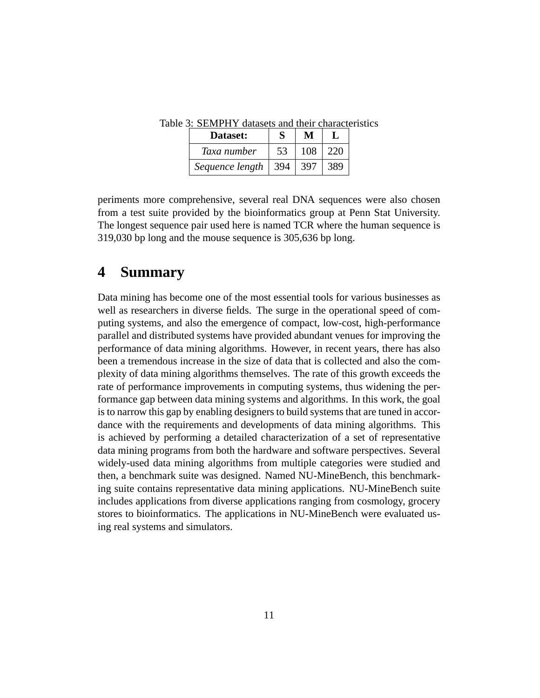<span id="page-11-0"></span>

| Dataset:        | S   |     |     |
|-----------------|-----|-----|-----|
| Taxa number     | 53  | 108 | 220 |
| Sequence length | 394 | 397 |     |

Table 3: SEMPHY datasets and their characteristics

periments more comprehensive, several real DNA sequences were also chosen from a test suite provided by the bioinformatics group at Penn Stat University. The longest sequence pair used here is named TCR where the human sequence is 319,030 bp long and the mouse sequence is 305,636 bp long.

#### **4 Summary**

Data mining has become one of the most essential tools for various businesses as well as researchers in diverse fields. The surge in the operational speed of computing systems, and also the emergence of compact, low-cost, high-performance parallel and distributed systems have provided abundant venues for improving the performance of data mining algorithms. However, in recent years, there has also been a tremendous increase in the size of data that is collected and also the complexity of data mining algorithms themselves. The rate of this growth exceeds the rate of performance improvements in computing systems, thus widening the performance gap between data mining systems and algorithms. In this work, the goal is to narrow this gap by enabling designers to build systems that are tuned in accordance with the requirements and developments of data mining algorithms. This is achieved by performing a detailed characterization of a set of representative data mining programs from both the hardware and software perspectives. Several widely-used data mining algorithms from multiple categories were studied and then, a benchmark suite was designed. Named NU-MineBench, this benchmarking suite contains representative data mining applications. NU-MineBench suite includes applications from diverse applications ranging from cosmology, grocery stores to bioinformatics. The applications in NU-MineBench were evaluated using real systems and simulators.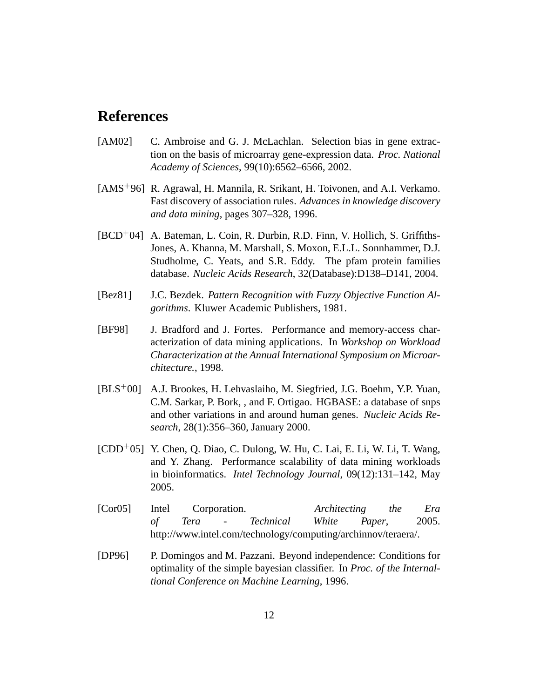#### **References**

- <span id="page-12-8"></span>[AM02] C. Ambroise and G. J. McLachlan. Selection bias in gene extraction on the basis of microarray gene-expression data. *Proc. National Academy of Sciences*, 99(10):6562–6566, 2002.
- <span id="page-12-4"></span>[AMS<sup>+</sup>96] R. Agrawal, H. Mannila, R. Srikant, H. Toivonen, and A.I. Verkamo. Fast discovery of association rules. *Advances in knowledge discovery and data mining*, pages 307–328, 1996.
- <span id="page-12-7"></span>[BCD+04] A. Bateman, L. Coin, R. Durbin, R.D. Finn, V. Hollich, S. Griffiths-Jones, A. Khanna, M. Marshall, S. Moxon, E.L.L. Sonnhammer, D.J. Studholme, C. Yeats, and S.R. Eddy. The pfam protein families database. *Nucleic Acids Research*, 32(Database):D138–D141, 2004.
- <span id="page-12-2"></span>[Bez81] J.C. Bezdek. *Pattern Recognition with Fuzzy Objective Function Algorithms*. Kluwer Academic Publishers, 1981.
- <span id="page-12-1"></span>[BF98] J. Bradford and J. Fortes. Performance and memory-access characterization of data mining applications. In *Workshop on Workload Characterization at the Annual International Symposium on Microarchitecture.*, 1998.
- <span id="page-12-6"></span>[BLS+00] A.J. Brookes, H. Lehvaslaiho, M. Siegfried, J.G. Boehm, Y.P. Yuan, C.M. Sarkar, P. Bork, , and F. Ortigao. HGBASE: a database of snps and other variations in and around human genes. *Nucleic Acids Research*, 28(1):356–360, January 2000.
- <span id="page-12-5"></span> $[CDD<sup>+</sup>05]$  Y. Chen, Q. Diao, C. Dulong, W. Hu, C. Lai, E. Li, W. Li, T. Wang, and Y. Zhang. Performance scalability of data mining workloads in bioinformatics. *Intel Technology Journal*, 09(12):131–142, May 2005.
- <span id="page-12-0"></span>[Cor05] Intel Corporation. *Architecting the Era of Tera - Technical White Paper*, 2005. http://www.intel.com/technology/computing/archinnov/teraera/.
- <span id="page-12-3"></span>[DP96] P. Domingos and M. Pazzani. Beyond independence: Conditions for optimality of the simple bayesian classifier. In *Proc. of the Internaltional Conference on Machine Learning*, 1996.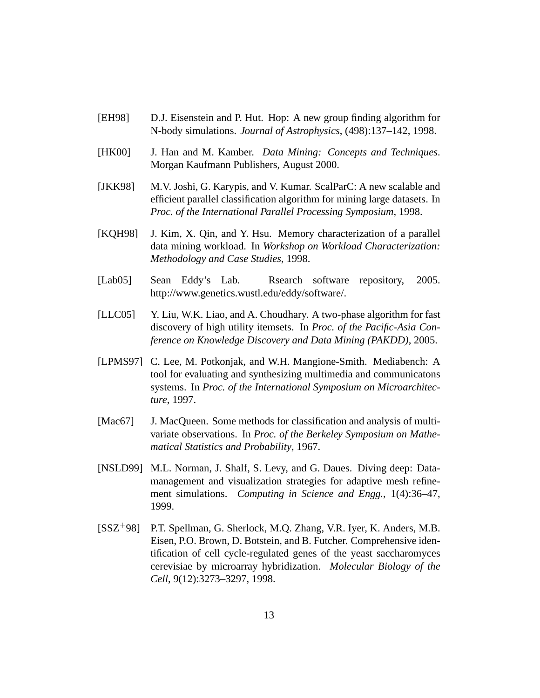- <span id="page-13-4"></span>[EH98] D.J. Eisenstein and P. Hut. Hop: A new group finding algorithm for N-body simulations. *Journal of Astrophysics*, (498):137–142, 1998.
- <span id="page-13-2"></span>[HK00] J. Han and M. Kamber. *Data Mining: Concepts and Techniques*. Morgan Kaufmann Publishers, August 2000.
- <span id="page-13-5"></span>[JKK98] M.V. Joshi, G. Karypis, and V. Kumar. ScalParC: A new scalable and efficient parallel classification algorithm for mining large datasets. In *Proc. of the International Parallel Processing Symposium*, 1998.
- <span id="page-13-1"></span>[KQH98] J. Kim, X. Qin, and Y. Hsu. Memory characterization of a parallel data mining workload. In *Workshop on Workload Characterization: Methodology and Case Studies*, 1998.
- <span id="page-13-9"></span>[Lab05] Sean Eddy's Lab. Rsearch software repository, 2005. http://www.genetics.wustl.edu/eddy/software/.
- <span id="page-13-6"></span>[LLC05] Y. Liu, W.K. Liao, and A. Choudhary. A two-phase algorithm for fast discovery of high utility itemsets. In *Proc. of the Pacific-Asia Conference on Knowledge Discovery and Data Mining (PAKDD)*, 2005.
- <span id="page-13-0"></span>[LPMS97] C. Lee, M. Potkonjak, and W.H. Mangione-Smith. Mediabench: A tool for evaluating and synthesizing multimedia and communicatons systems. In *Proc. of the International Symposium on Microarchitecture*, 1997.
- <span id="page-13-3"></span>[Mac67] J. MacQueen. Some methods for classification and analysis of multivariate observations. In *Proc. of the Berkeley Symposium on Mathematical Statistics and Probability*, 1967.
- <span id="page-13-7"></span>[NSLD99] M.L. Norman, J. Shalf, S. Levy, and G. Daues. Diving deep: Datamanagement and visualization strategies for adaptive mesh refinement simulations. *Computing in Science and Engg.*, 1(4):36–47, 1999.
- <span id="page-13-8"></span>[SSZ<sup>+</sup>98] P.T. Spellman, G. Sherlock, M.Q. Zhang, V.R. Iyer, K. Anders, M.B. Eisen, P.O. Brown, D. Botstein, and B. Futcher. Comprehensive identification of cell cycle-regulated genes of the yeast saccharomyces cerevisiae by microarray hybridization. *Molecular Biology of the Cell*, 9(12):3273–3297, 1998.